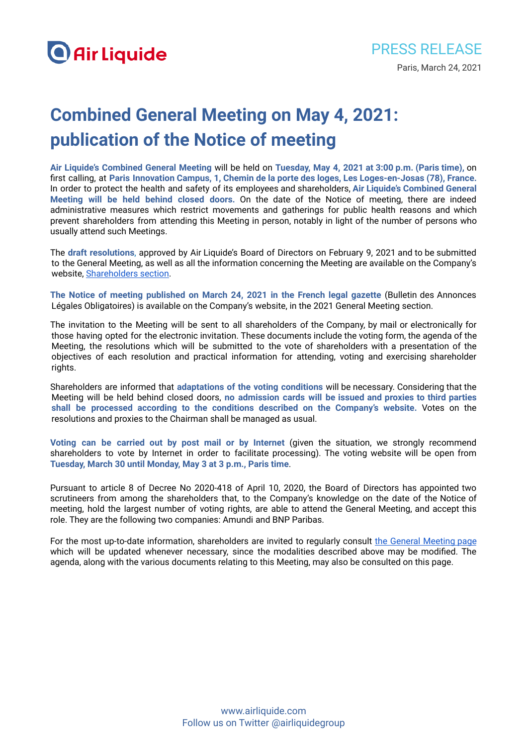# **Combined General Meeting on May 4, 2021: publication of the Notice of meeting**

**Air Liquide's Combined General Meeting** will be held on **Tuesday, May 4, 2021 at 3:00 p.m. (Paris time),** on first calling, at **Paris Innovation Campus, 1, Chemin de la porte des loges, Les Loges-en-Josas (78), France.** In order to protect the health and safety of its employees and shareholders, **Air Liquide's Combined General Meeting will be held behind closed doors.** On the date of the Notice of meeting, there are indeed administrative measures which restrict movements and gatherings for public health reasons and which prevent shareholders from attending this Meeting in person, notably in light of the number of persons who usually attend such Meetings.

The **draft resolutions**, approved by Air Liquide's Board of Directors on February 9, 2021 and to be submitted to the General Meeting, as well as all the information concerning the Meeting are available on the Company's website, [Shareholders](https://www.airliquide.com/shareholders/2021-annual-general-meeting) section.

**The Notice of meeting published on March 24, 2021 in the French legal gazette** (Bulletin des Annonces Légales Obligatoires) is available on the Company's website, in the 2021 General Meeting section.

The invitation to the Meeting will be sent to all shareholders of the Company, by mail or electronically for those having opted for the electronic invitation. These documents include the voting form, the agenda of the Meeting, the resolutions which will be submitted to the vote of shareholders with a presentation of the objectives of each resolution and practical information for attending, voting and exercising shareholder rights.

Shareholders are informed that **adaptations of the voting conditions** will be necessary. Considering that the Meeting will be held behind closed doors, **no admission cards will be issued and proxies to third parties shall be processed according to the conditions described on the Company's website.** Votes on the resolutions and proxies to the Chairman shall be managed as usual.

**Voting can be carried out by post mail or by Internet** (given the situation, we strongly recommend shareholders to vote by Internet in order to facilitate processing). The voting website will be open from **Tuesday, March 30 until Monday, May 3 at 3 p.m., Paris time**.

Pursuant to article 8 of Decree No 2020-418 of April 10, 2020, the Board of Directors has appointed two scrutineers from among the shareholders that, to the Company's knowledge on the date of the Notice of meeting, hold the largest number of voting rights, are able to attend the General Meeting, and accept this role. They are the following two companies: Amundi and BNP Paribas.

For the most up-to-date information, shareholders are invited to regularly consult the General [Meeting](https://www.airliquide.com/shareholders/2021-annual-general-meeting) page which will be updated whenever necessary, since the modalities described above may be modified. The agenda, along with the various documents relating to this Meeting, may also be consulted on this page.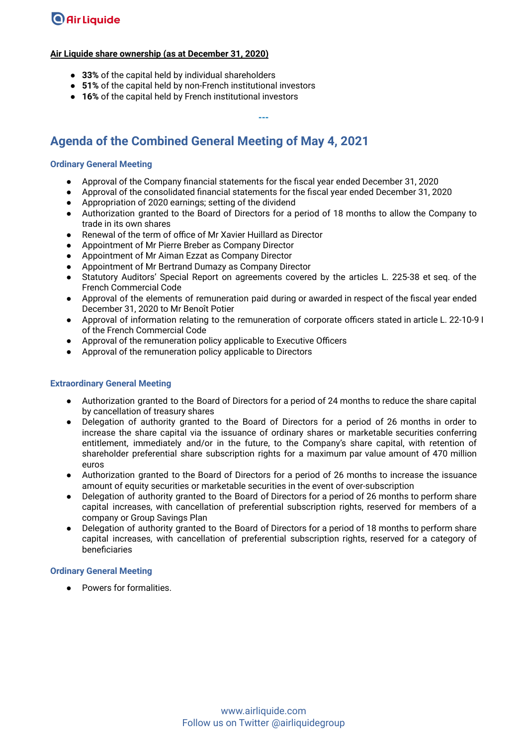## **O** Air Liquide

#### **Air Liquide share ownership (as at December 31, 2020)**

- **33%** of the capital held by individual shareholders
- **51%** of the capital held by non-French institutional investors
- **16%** of the capital held by French institutional investors

### **Agenda of the Combined General Meeting of May 4, 2021**

#### **Ordinary General Meeting**

- Approval of the Company financial statements for the fiscal year ended December 31, 2020
- Approval of the consolidated financial statements for the fiscal year ended December 31, 2020

**---**

- Appropriation of 2020 earnings; setting of the dividend
- Authorization granted to the Board of Directors for a period of 18 months to allow the Company to trade in its own shares
- Renewal of the term of office of Mr Xavier Huillard as Director
- Appointment of Mr Pierre Breber as Company Director
- Appointment of Mr Aiman Ezzat as Company Director
- Appointment of Mr Bertrand Dumazy as Company Director
- Statutory Auditors' Special Report on agreements covered by the articles L. 225-38 et seq. of the French Commercial Code
- Approval of the elements of remuneration paid during or awarded in respect of the fiscal year ended December 31, 2020 to Mr Benoît Potier
- Approval of information relating to the remuneration of corporate officers stated in article L. 22-10-9 I of the French Commercial Code
- Approval of the remuneration policy applicable to Executive Officers
- Approval of the remuneration policy applicable to Directors

#### **Extraordinary General Meeting**

- Authorization granted to the Board of Directors for a period of 24 months to reduce the share capital by cancellation of treasury shares
- Delegation of authority granted to the Board of Directors for a period of 26 months in order to increase the share capital via the issuance of ordinary shares or marketable securities conferring entitlement, immediately and/or in the future, to the Company's share capital, with retention of shareholder preferential share subscription rights for a maximum par value amount of 470 million euros
- Authorization granted to the Board of Directors for a period of 26 months to increase the issuance amount of equity securities or marketable securities in the event of over-subscription
- Delegation of authority granted to the Board of Directors for a period of 26 months to perform share capital increases, with cancellation of preferential subscription rights, reserved for members of a company or Group Savings Plan
- Delegation of authority granted to the Board of Directors for a period of 18 months to perform share capital increases, with cancellation of preferential subscription rights, reserved for a category of beneficiaries

#### **Ordinary General Meeting**

● Powers for formalities.